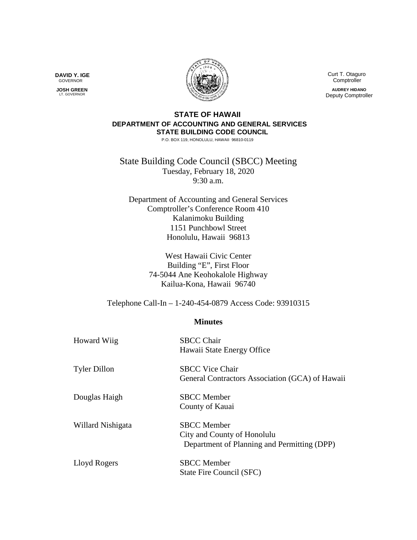Curt T. Otaguro Comptroller

**AUDREY HIDANO** Deputy Comptroller

## **STATE OF HAWAII DEPARTMENT OF ACCOUNTING AND GENERAL SERVICES STATE BUILDING CODE COUNCIL**

P.O. BOX 119, HONOLULU, HAWAII 96810-0119

State Building Code Council (SBCC) Meeting Tuesday, February 18, 2020 9:30 a.m.

Department of Accounting and General Services Comptroller's Conference Room 410 Kalanimoku Building 1151 Punchbowl Street Honolulu, Hawaii 96813

> West Hawaii Civic Center Building "E", First Floor 74-5044 Ane Keohokalole Highway Kailua-Kona, Hawaii 96740

Telephone Call-In – 1-240-454-0879 Access Code: 93910315

## **Minutes**

| <b>Howard Wiig</b>  | <b>SBCC Chair</b><br>Hawaii State Energy Office                                                  |
|---------------------|--------------------------------------------------------------------------------------------------|
| <b>Tyler Dillon</b> | <b>SBCC Vice Chair</b><br>General Contractors Association (GCA) of Hawaii                        |
| Douglas Haigh       | <b>SBCC</b> Member<br>County of Kauai                                                            |
| Willard Nishigata   | <b>SBCC</b> Member<br>City and County of Honolulu<br>Department of Planning and Permitting (DPP) |
| Lloyd Rogers        | <b>SBCC</b> Member<br>State Fire Council (SFC)                                                   |

**DAVID Y. IGE** GOVERNOR

 **JOSH GREEN** LT. GOVERNOR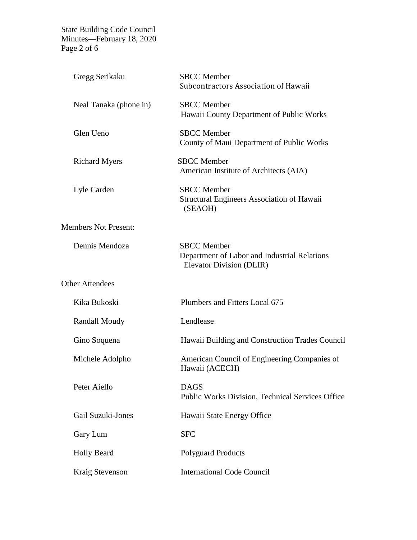State Building Code Council Minutes—February 18, 2020 Page 2 of 6

| Gregg Serikaku              | <b>SBCC</b> Member<br>Subcontractors Association of Hawaii                                     |
|-----------------------------|------------------------------------------------------------------------------------------------|
| Neal Tanaka (phone in)      | <b>SBCC</b> Member<br>Hawaii County Department of Public Works                                 |
| Glen Ueno                   | <b>SBCC</b> Member<br>County of Maui Department of Public Works                                |
| <b>Richard Myers</b>        | <b>SBCC</b> Member<br>American Institute of Architects (AIA)                                   |
| Lyle Carden                 | <b>SBCC</b> Member<br><b>Structural Engineers Association of Hawaii</b><br>(SEAOH)             |
| <b>Members Not Present:</b> |                                                                                                |
| Dennis Mendoza              | <b>SBCC</b> Member<br>Department of Labor and Industrial Relations<br>Elevator Division (DLIR) |
| <b>Other Attendees</b>      |                                                                                                |
| Kika Bukoski                | Plumbers and Fitters Local 675                                                                 |
| <b>Randall Moudy</b>        | Lendlease                                                                                      |
| Gino Soquena                | Hawaii Building and Construction Trades Council                                                |
| Michele Adolpho             | American Council of Engineering Companies of<br>Hawaii (ACECH)                                 |
| Peter Aiello                | <b>DAGS</b><br><b>Public Works Division, Technical Services Office</b>                         |
| Gail Suzuki-Jones           | Hawaii State Energy Office                                                                     |
| Gary Lum                    | <b>SFC</b>                                                                                     |
| <b>Holly Beard</b>          | <b>Polyguard Products</b>                                                                      |
| Kraig Stevenson             | <b>International Code Council</b>                                                              |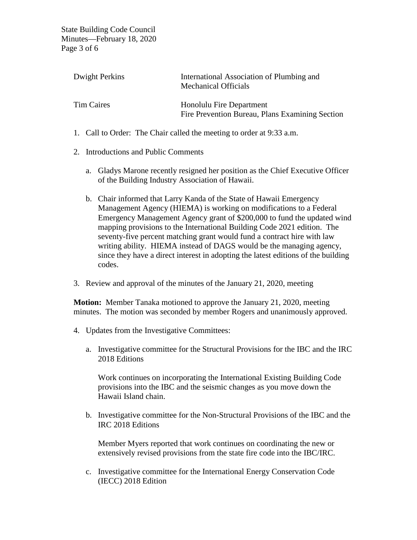State Building Code Council Minutes—February 18, 2020 Page 3 of 6

| Dwight Perkins    | International Association of Plumbing and<br><b>Mechanical Officials</b>    |
|-------------------|-----------------------------------------------------------------------------|
| <b>Tim Caires</b> | Honolulu Fire Department<br>Fire Prevention Bureau, Plans Examining Section |

- 1. Call to Order: The Chair called the meeting to order at 9:33 a.m.
- 2. Introductions and Public Comments
	- a. Gladys Marone recently resigned her position as the Chief Executive Officer of the Building Industry Association of Hawaii.
	- b. Chair informed that Larry Kanda of the State of Hawaii Emergency Management Agency (HIEMA) is working on modifications to a Federal Emergency Management Agency grant of \$200,000 to fund the updated wind mapping provisions to the International Building Code 2021 edition. The seventy-five percent matching grant would fund a contract hire with law writing ability. HIEMA instead of DAGS would be the managing agency, since they have a direct interest in adopting the latest editions of the building codes.
- 3. Review and approval of the minutes of the January 21, 2020, meeting

**Motion:** Member Tanaka motioned to approve the January 21, 2020, meeting minutes. The motion was seconded by member Rogers and unanimously approved.

- 4. Updates from the Investigative Committees:
	- a. Investigative committee for the Structural Provisions for the IBC and the IRC 2018 Editions

Work continues on incorporating the International Existing Building Code provisions into the IBC and the seismic changes as you move down the Hawaii Island chain.

b. Investigative committee for the Non-Structural Provisions of the IBC and the IRC 2018 Editions

Member Myers reported that work continues on coordinating the new or extensively revised provisions from the state fire code into the IBC/IRC.

c. Investigative committee for the International Energy Conservation Code (IECC) 2018 Edition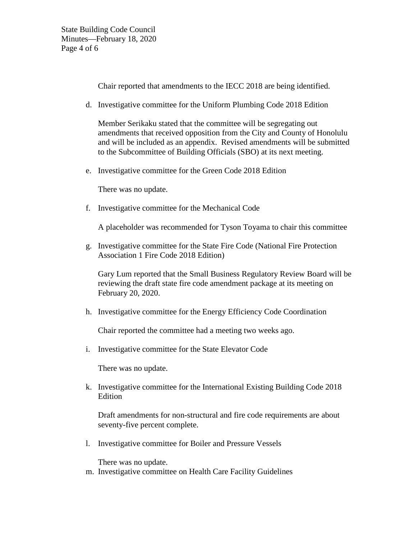Chair reported that amendments to the IECC 2018 are being identified.

d. Investigative committee for the Uniform Plumbing Code 2018 Edition

Member Serikaku stated that the committee will be segregating out amendments that received opposition from the City and County of Honolulu and will be included as an appendix. Revised amendments will be submitted to the Subcommittee of Building Officials (SBO) at its next meeting.

e. Investigative committee for the Green Code 2018 Edition

There was no update.

f. Investigative committee for the Mechanical Code

A placeholder was recommended for Tyson Toyama to chair this committee

g. Investigative committee for the State Fire Code (National Fire Protection Association 1 Fire Code 2018 Edition)

Gary Lum reported that the Small Business Regulatory Review Board will be reviewing the draft state fire code amendment package at its meeting on February 20, 2020.

h. Investigative committee for the Energy Efficiency Code Coordination

Chair reported the committee had a meeting two weeks ago.

i. Investigative committee for the State Elevator Code

There was no update.

k. Investigative committee for the International Existing Building Code 2018 Edition

Draft amendments for non-structural and fire code requirements are about seventy-five percent complete.

l. Investigative committee for Boiler and Pressure Vessels

There was no update.

m. Investigative committee on Health Care Facility Guidelines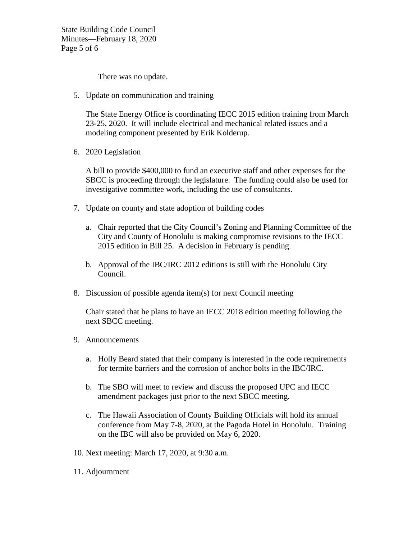State Building Code Council Minutes—February 18, 2020 Page 5 of 6

There was no update.

5. Update on communication and training

The State Energy Office is coordinating IECC 2015 edition training from March 23-25, 2020. It will include electrical and mechanical related issues and a modeling component presented by Erik Kolderup.

6. 2020 Legislation

A bill to provide \$400,000 to fund an executive staff and other expenses for the SBCC is proceeding through the legislature. The funding could also be used for investigative committee work, including the use of consultants.

- 7. Update on county and state adoption of building codes
	- a. Chair reported that the City Council's Zoning and Planning Committee of the City and County of Honolulu is making compromise revisions to the IECC 2015 edition in Bill 25. A decision in February is pending.
	- b. Approval of the IBC/IRC 2012 editions is still with the Honolulu City Council.
- 8. Discussion of possible agenda item(s) for next Council meeting

Chair stated that he plans to have an IECC 2018 edition meeting following the next SBCC meeting.

- 9. Announcements
	- a. Holly Beard stated that their company is interested in the code requirements for termite barriers and the corrosion of anchor bolts in the IBC/IRC.
	- b. The SBO will meet to review and discuss the proposed UPC and IECC amendment packages just prior to the next SBCC meeting.
	- c. The Hawaii Association of County Building Officials will hold its annual conference from May 7-8, 2020, at the Pagoda Hotel in Honolulu. Training on the IBC will also be provided on May 6, 2020.
- 10. Next meeting: March 17, 2020, at 9:30 a.m.
- 11. Adjournment